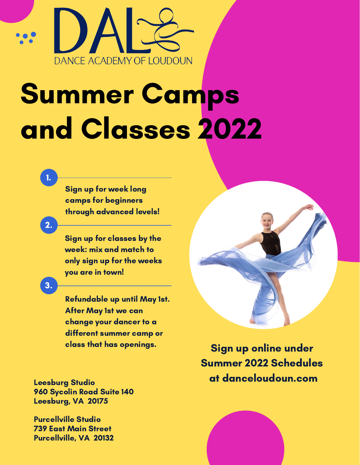

# Summer Camps and Classes 2022

Sign up for week long camps for beginners through advanced levels!

2.

1.

Sign up for classes by the week: mix and match to only sign up for the weeks you are in town!

3.

Refundable up until May 1st. After May 1st we can change your dancer to a different summer camp or class that has openings.

960 Sycolin Road Suite 140 Leesburg, VA 20175

Purcellville Studio 739 East Main Street Purcellville, VA 20132



Sign up online under Summer 2022 Schedules Leesburg Studio at danceloudoun.com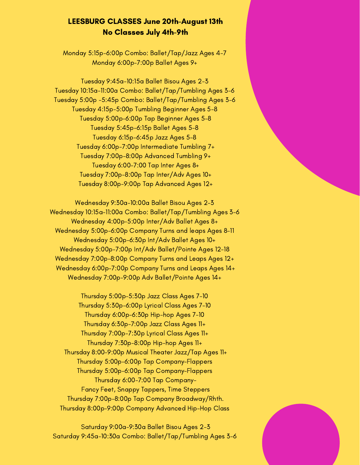#### LEESBURG CLASSES June 20th-August 13th No Classes July 4th-9th

Monday 5:15p-6:00p Combo: [Ballet/Tap/Jazz](https://app.jackrabbitclass.com/eventcalendar.asp?id=&key=&clabel=&date=6%2F19%2F2022&orgid=539644&loc=Leesburg&cat1=2022%20summer%20camps#) Ages 4-[7](https://app.jackrabbitclass.com/eventcalendar.asp?id=&key=&clabel=&date=6%2F19%2F2022&orgid=539644&loc=Leesburg&cat1=2022%20summer%20camps#) Monday [6:00p-7:00p](https://app.jackrabbitclass.com/eventcalendar.asp?id=&key=&clabel=&date=6%2F19%2F2022&orgid=539644&loc=Leesburg&cat1=2022%20summer%20camps#) Ballet Ages 9+

Tuesday [9:45a-10:15a](https://app.jackrabbitclass.com/eventcalendar.asp?id=&key=&clabel=&date=6%2F19%2F2022&orgid=539644&loc=Leesburg&cat1=2022%20summer%20camps#) Ballet Bisou Ages 2-3 Tuesday 10:15a-11:00a Combo: [Ballet/Tap/Tumbling](https://app.jackrabbitclass.com/eventcalendar.asp?id=&key=&clabel=&date=6%2F19%2F2022&orgid=539644&loc=Leesburg&cat1=2022%20summer%20camps#) Ages 3-6 Tuesday 5:00p -5:45p Combo: [Ballet/Tap/Tumbling](https://app.jackrabbitclass.com/eventcalendar.asp?id=&key=&clabel=&date=6%2F19%2F2022&orgid=539644&loc=Leesburg&cat1=2022%20summer%20camps#) Ages 3-[6](https://app.jackrabbitclass.com/eventcalendar.asp?id=&key=&clabel=&date=6%2F19%2F2022&orgid=539644&loc=Leesburg&cat1=2022%20summer%20camps#) Tuesday [4:15p-5:00p](https://app.jackrabbitclass.com/eventcalendar.asp?id=&key=&clabel=&date=6%2F19%2F2022&orgid=539644&loc=Leesburg&cat1=2022%20summer%20camps#) Tumbling Beginner Ages 5-[8](https://app.jackrabbitclass.com/eventcalendar.asp?id=&key=&clabel=&date=6%2F19%2F2022&orgid=539644&loc=Leesburg&cat1=2022%20summer%20camps#) Tuesday 5:00p-6:00p Tap Beginner Ages 5-8 Tuesday [5:45p-6:15p](https://app.jackrabbitclass.com/eventcalendar.asp?id=&key=&clabel=&date=6%2F19%2F2022&orgid=539644&loc=Leesburg&cat1=2022%20summer%20camps#) Ballet Ages 5-[8](https://app.jackrabbitclass.com/eventcalendar.asp?id=&key=&clabel=&date=6%2F19%2F2022&orgid=539644&loc=Leesburg&cat1=2022%20summer%20camps#) Tuesday [6:15p-6:45p](https://app.jackrabbitclass.com/eventcalendar.asp?id=&key=&clabel=&date=6%2F19%2F2022&orgid=539644&loc=Leesburg&cat1=2022%20summer%20camps#) Jazz Ages 5-[8](https://app.jackrabbitclass.com/eventcalendar.asp?id=&key=&clabel=&date=6%2F19%2F2022&orgid=539644&loc=Leesburg&cat1=2022%20summer%20camps#) Tuesday [6:00p-7:00p](https://app.jackrabbitclass.com/eventcalendar.asp?id=&key=&clabel=&date=6%2F19%2F2022&orgid=539644&loc=Leesburg&cat1=2022%20summer%20camps#) Intermediate Tumbling 7+ Tuesday [7:00p-8:00p](https://app.jackrabbitclass.com/eventcalendar.asp?id=&key=&clabel=&date=6%2F19%2F2022&orgid=539644&loc=Leesburg&cat1=2022%20summer%20camps#) Advanced Tumbling 9+ Tuesday 6:00-7:00 Tap Inter Ages 8+ Tuesday 7:00p-8:00p Tap Inter/Adv Ages 10+ Tuesday 8:00p-9:00p Tap Advanced Ages 12+

Wednesday [9:30a-10:00a](https://app.jackrabbitclass.com/eventcalendar.asp?id=&key=&clabel=&date=6%2F19%2F2022&orgid=539644&loc=Leesburg&cat1=2022%20summer%20camps#) Ballet Bisou Ages 2-[3](https://app.jackrabbitclass.com/eventcalendar.asp?id=&key=&clabel=&date=6%2F19%2F2022&orgid=539644&loc=Leesburg&cat1=2022%20summer%20camps#) Wednesday 10:15a-11:00a Combo: [Ballet/Tap/Tumbling](https://app.jackrabbitclass.com/eventcalendar.asp?id=&key=&clabel=&date=6%2F19%2F2022&orgid=539644&loc=Leesburg&cat1=2022%20summer%20camps#) Ages 3-[6](https://app.jackrabbitclass.com/eventcalendar.asp?id=&key=&clabel=&date=6%2F19%2F2022&orgid=539644&loc=Leesburg&cat1=2022%20summer%20camps#) Wednesday [4:00p-5:00p](https://app.jackrabbitclass.com/eventcalendar.asp?id=&key=&clabel=&date=6%2F19%2F2022&orgid=539644&loc=Leesburg&cat1=2022%20summer%20camps#) Inter/Adv Ballet Ages 8+ Wednesday [5:00p-6:00p](https://app.jackrabbitclass.com/eventcalendar.asp?id=&key=&clabel=&date=6%2F19%2F2022&orgid=539644&loc=Leesburg&cat1=2022%20summer%20camps#) Company Turns and leaps Ages 8-11 Wednesday [5:00p-6:30p](https://app.jackrabbitclass.com/eventcalendar.asp?id=&key=&clabel=&date=6%2F19%2F2022&orgid=539644&loc=Leesburg&cat1=2022%20summer%20camps#) Int/Adv Ballet Ages 10+ Wednesday 5:00p-7:00p Int/Adv [Ballet/Pointe](https://app.jackrabbitclass.com/eventcalendar.asp?id=&key=&clabel=&date=6%2F19%2F2022&orgid=539644&loc=Leesburg&cat1=2022%20summer%20camps#) Ages 12-18 Wednesday [7:00p-8:00p](https://app.jackrabbitclass.com/eventcalendar.asp?id=&key=&clabel=&date=6%2F19%2F2022&orgid=539644&loc=Leesburg&cat1=2022%20summer%20camps#) Company Turns and Leaps Ages 12+ Wednesday [6:00p-7:00p](https://app.jackrabbitclass.com/eventcalendar.asp?id=&key=&clabel=&date=6%2F19%2F2022&orgid=539644&loc=Leesburg&cat1=2022%20summer%20camps#) Company Turns and Leaps Ages 14+ Wednesday 7:00p-9:00p Adv [Ballet/Pointe](https://app.jackrabbitclass.com/eventcalendar.asp?id=&key=&clabel=&date=6%2F19%2F2022&orgid=539644&loc=Leesburg&cat1=2022%20summer%20camps#) Ages 14[+](https://app.jackrabbitclass.com/eventcalendar.asp?id=&key=&clabel=&date=6%2F19%2F2022&orgid=539644&loc=Leesburg&cat1=2022%20summer%20camps#)

Thursday [5:00p-5:30p](https://app.jackrabbitclass.com/eventcalendar.asp?id=&key=&clabel=&date=6%2F19%2F2022&orgid=539644&loc=Leesburg&cat1=2022%20summer%20camps#) Jazz Class Ages 7-1[0](https://app.jackrabbitclass.com/eventcalendar.asp?id=&key=&clabel=&date=6%2F19%2F2022&orgid=539644&loc=Leesburg&cat1=2022%20summer%20camps#) Thursday [5:30p-6:00p](https://app.jackrabbitclass.com/eventcalendar.asp?id=&key=&clabel=&date=6%2F19%2F2022&orgid=539644&loc=Leesburg&cat1=2022%20summer%20camps#) Lyrical Class Ages 7-1[0](https://app.jackrabbitclass.com/eventcalendar.asp?id=&key=&clabel=&date=6%2F19%2F2022&orgid=539644&loc=Leesburg&cat1=2022%20summer%20camps#) Thursday [6:00p-6:30p](https://app.jackrabbitclass.com/eventcalendar.asp?id=&key=&clabel=&date=6%2F19%2F2022&orgid=539644&loc=Leesburg&cat1=2022%20summer%20camps#) Hip-hop Ages 7-1[0](https://app.jackrabbitclass.com/eventcalendar.asp?id=&key=&clabel=&date=6%2F19%2F2022&orgid=539644&loc=Leesburg&cat1=2022%20summer%20camps#) Thursday [6:30p-7:00p](https://app.jackrabbitclass.com/eventcalendar.asp?id=&key=&clabel=&date=6%2F19%2F2022&orgid=539644&loc=Leesburg&cat1=2022%20summer%20camps#) Jazz Class Ages 11[+](https://app.jackrabbitclass.com/eventcalendar.asp?id=&key=&clabel=&date=6%2F19%2F2022&orgid=539644&loc=Leesburg&cat1=2022%20summer%20camps#) Thursday [7:00p-7:30p](https://app.jackrabbitclass.com/eventcalendar.asp?id=&key=&clabel=&date=6%2F19%2F2022&orgid=539644&loc=Leesburg&cat1=2022%20summer%20camps#) Lyrical Class Ages 11[+](https://app.jackrabbitclass.com/eventcalendar.asp?id=&key=&clabel=&date=6%2F19%2F2022&orgid=539644&loc=Leesburg&cat1=2022%20summer%20camps#) Thursday [7:30p-8:00p](https://app.jackrabbitclass.com/eventcalendar.asp?id=&key=&clabel=&date=6%2F19%2F2022&orgid=539644&loc=Leesburg&cat1=2022%20summer%20camps#) Hip-hop Ages 11+ Thursday 8:00-9:00p Musical Theater Jazz/Tap Ages 11+ Thursday 5:00p-6:00p Tap Company-Flappers Thursday 5:00p-6:00p Tap Company-Flappers Thursday 6:00-7:00 Tap Company-Fancy Feet, Snappy Tappers, Time Steppers Thursday 7:00p-8:00p Tap Company Broadway/Rhth. Thursday [8:00p-9:00p](https://app.jackrabbitclass.com/eventcalendar.asp?id=&key=&clabel=&date=6%2F19%2F2022&orgid=539644&loc=Leesburg&cat1=2022%20summer%20camps#) Company Advanced Hip-Hop Class

Saturday [9:00a-9:30a](https://app.jackrabbitclass.com/eventcalendar.asp?id=&key=&clabel=&date=6%2F19%2F2022&orgid=539644&loc=Leesburg&cat1=2022%20summer%20camps#) Ballet Bisou Ages 2-3 Saturday 9:45a-10:30a Combo: [Ballet/Tap/Tumbling](https://app.jackrabbitclass.com/eventcalendar.asp?id=&key=&clabel=&date=6%2F19%2F2022&orgid=539644&loc=Leesburg&cat1=2022%20summer%20camps#) Ages 3-6

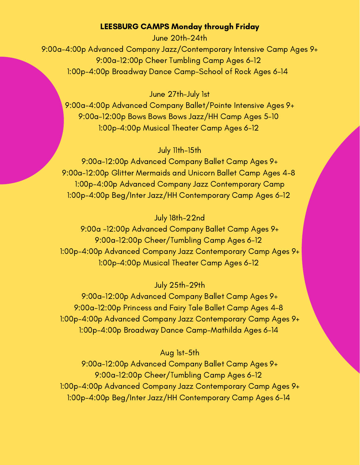#### LEESBURG CAMPS Monday through Friday

June 20th-24th 9:00a-4:00p Advanced Company Jazz/Contemporary Intensive Camp Ages 9+ 9:00a-12:00p Cheer Tumbling Camp Ages 6-12 1:00p-4:00p Broadway Dance Camp-School of Rock Ages 6-14

June 27th-July 1st

9:00a-4:00p Advanced Company Ballet/Pointe Intensive Ages 9+ [9:00a-12:00p](https://app.jackrabbitclass.com/eventcalendar.asp?id=&key=&clabel=&date=6%2F19%2F2022&orgid=539644&loc=Leesburg&cat1=2022%20summer%20camps#) Bows Bows Bows Jazz/HH Camp Ages 5-1[0](https://app.jackrabbitclass.com/eventcalendar.asp?id=&key=&clabel=&date=6%2F19%2F2022&orgid=539644&loc=Leesburg&cat1=2022%20summer%20camps#) [1:00p-4:00p](https://app.jackrabbitclass.com/eventcalendar.asp?id=&key=&clabel=&date=6%2F19%2F2022&orgid=539644&loc=Leesburg&cat1=2022%20summer%20camps#) Musical Theater Camp Ages 6-12

#### July 11th-15th

[9:00a-12:00p](https://app.jackrabbitclass.com/eventcalendar.asp?id=&key=&clabel=&date=7%2F19%2F2022&orgid=539644&loc=Leesburg&cat1=2022%20summer%20camps#) Advanced Company Ballet Camp Ages 9+ [9:00a-12:00p](https://app.jackrabbitclass.com/eventcalendar.asp?id=&key=&clabel=&date=7%2F19%2F2022&orgid=539644&loc=Leesburg&cat1=2022%20summer%20camps#) Glitter Mermaids and Unicorn Ballet Camp Ages 4-[8](https://app.jackrabbitclass.com/eventcalendar.asp?id=&key=&clabel=&date=7%2F19%2F2022&orgid=539644&loc=Leesburg&cat1=2022%20summer%20camps#) 1:00p-4:00p Advanced Company Jazz [Contemporary](https://app.jackrabbitclass.com/eventcalendar.asp?id=&key=&clabel=&date=7%2F19%2F2022&orgid=539644&loc=Leesburg&cat1=2022%20summer%20camps#) Camp 1:00p-4:00p Beg/Inter Jazz/HH [Contemporary](https://app.jackrabbitclass.com/eventcalendar.asp?id=&key=&clabel=&date=7%2F19%2F2022&orgid=539644&loc=Leesburg&cat1=2022%20summer%20camps#) Camp Ages 6-1[2](https://app.jackrabbitclass.com/eventcalendar.asp?id=&key=&clabel=&date=7%2F19%2F2022&orgid=539644&loc=Leesburg&cat1=2022%20summer%20camps#)

### July 18th-22nd

9:00a -12:00p [Advanced](https://app.jackrabbitclass.com/eventcalendar.asp?id=&key=&clabel=&date=7%2F19%2F2022&orgid=539644&loc=Leesburg&cat1=2022%20summer%20camps#) Company Ballet Camp Ages 9+ 9:00a-12:00p [Cheer/Tumbling](https://app.jackrabbitclass.com/eventcalendar.asp?id=&key=&clabel=&date=7%2F19%2F2022&orgid=539644&loc=Leesburg&cat1=2022%20summer%20camps#) Camp Ages 6-1[2](https://app.jackrabbitclass.com/eventcalendar.asp?id=&key=&clabel=&date=7%2F19%2F2022&orgid=539644&loc=Leesburg&cat1=2022%20summer%20camps#) 1:00p-4:00p Advanced Company Jazz [Contemporary](https://app.jackrabbitclass.com/eventcalendar.asp?id=&key=&clabel=&date=7%2F19%2F2022&orgid=539644&loc=Leesburg&cat1=2022%20summer%20camps#) Camp Ages 9+ [1:00p-4:00p](https://app.jackrabbitclass.com/eventcalendar.asp?id=&key=&clabel=&date=7%2F19%2F2022&orgid=539644&loc=Leesburg&cat1=2022%20summer%20camps#) Musical Theater Camp Ages 6-12

#### July 25th-29th

[9:00a-12:00p](https://app.jackrabbitclass.com/eventcalendar.asp?id=&key=&clabel=&date=7%2F19%2F2022&orgid=539644&loc=Leesburg&cat1=2022%20summer%20camps#) Advanced Company Ballet Camp Ages 9+ [9:00a-12:00p](https://app.jackrabbitclass.com/eventcalendar.asp?id=&key=&clabel=&date=7%2F19%2F2022&orgid=539644&loc=Leesburg&cat1=2022%20summer%20camps#) Princess and Fairy Tale Ballet Camp Ages 4-8 1:00p-4:00p Advanced Company Jazz [Contemporary](https://app.jackrabbitclass.com/eventcalendar.asp?id=&key=&clabel=&date=7%2F19%2F2022&orgid=539644&loc=Leesburg&cat1=2022%20summer%20camps#) Camp Ages 9+ 1:00p-4:00p Broadway Dance [Camp-Mathilda](https://app.jackrabbitclass.com/eventcalendar.asp?id=&key=&clabel=&date=7%2F19%2F2022&orgid=539644&loc=Leesburg&cat1=2022%20summer%20camps#) Ages 6-14

#### Aug 1st-5th

[9:00a-12:00p](https://app.jackrabbitclass.com/eventcalendar.asp?id=&key=&clabel=&date=8%2F19%2F2022&orgid=539644&loc=Leesburg&cat1=2022%20summer%20camps#) Advanced Company Ballet Camp Ages 9+ 9:00a-12:00p [Cheer/Tumbling](https://app.jackrabbitclass.com/eventcalendar.asp?id=&key=&clabel=&date=8%2F19%2F2022&orgid=539644&loc=Leesburg&cat1=2022%20summer%20camps#) Camp Ages 6-1[2](https://app.jackrabbitclass.com/eventcalendar.asp?id=&key=&clabel=&date=8%2F19%2F2022&orgid=539644&loc=Leesburg&cat1=2022%20summer%20camps#) 1:00p-4:00p Advanced Company Jazz [Contemporary](https://app.jackrabbitclass.com/eventcalendar.asp?id=&key=&clabel=&date=8%2F19%2F2022&orgid=539644&loc=Leesburg&cat1=2022%20summer%20camps#) Camp Ages 9+ 1:00p-4:00p Beg/Inter Jazz/HH [Contemporary](https://app.jackrabbitclass.com/eventcalendar.asp?id=&key=&clabel=&date=8%2F19%2F2022&orgid=539644&loc=Leesburg&cat1=2022%20summer%20camps#) Camp Ages 6-14